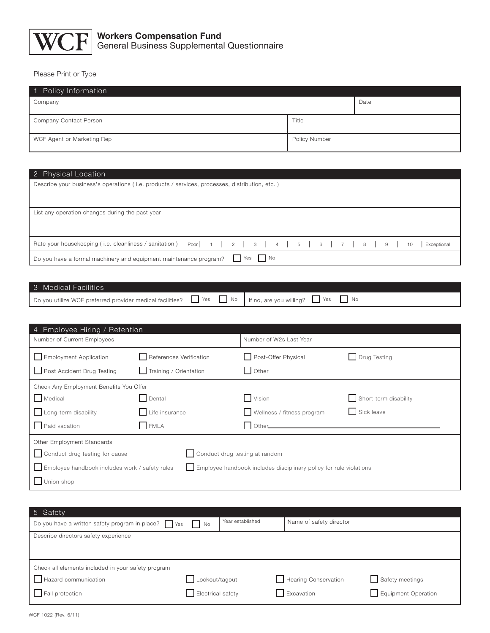

Please Print or Type

| 1 Policy Information       |               |  |  |  |  |
|----------------------------|---------------|--|--|--|--|
| Company                    | Date          |  |  |  |  |
| Company Contact Person     | Title         |  |  |  |  |
| WCF Agent or Marketing Rep | Policy Number |  |  |  |  |

## 2 Physical Location

| Describe your business's operations (i.e. products / services, processes, distribution, etc.)        |             |  |  |  |  |
|------------------------------------------------------------------------------------------------------|-------------|--|--|--|--|
| List any operation changes during the past year                                                      |             |  |  |  |  |
| Rate your housekeeping (i.e. cleanliness / sanitation) Poor   1   2   3   4   5   6   7   8   9   10 | Exceptional |  |  |  |  |
| $\Box$ Yes $\Box$ No<br>Do you have a formal machinery and equipment maintenance program?            |             |  |  |  |  |

| 3 Medical Facilities                                                                                                          |  |  |
|-------------------------------------------------------------------------------------------------------------------------------|--|--|
| Do you utilize WCF preferred provider medical facilities? $\Box$ Yes $\Box$ No   If no, are you willing? $\Box$ Yes $\Box$ No |  |  |

| 4 Employee Hiring / Retention                                                                                        |                                |                            |                       |  |
|----------------------------------------------------------------------------------------------------------------------|--------------------------------|----------------------------|-----------------------|--|
| Number of Current Employees                                                                                          |                                | Number of W2s Last Year    |                       |  |
| Employment Application                                                                                               | References Verification        | Post-Offer Physical        | $\Box$ Drug Testing   |  |
| Post Accident Drug Testing                                                                                           | $\Box$ Training / Orientation  | Other                      |                       |  |
| Check Any Employment Benefits You Offer                                                                              |                                |                            |                       |  |
| Medical                                                                                                              | $\Box$ Dental                  | Vision                     | Short-term disability |  |
| $\Box$ Long-term disability                                                                                          | Life insurance                 | Wellness / fitness program | Sick leave            |  |
| Paid vacation                                                                                                        | FMLA                           | Other.                     |                       |  |
| Other Employment Standards                                                                                           |                                |                            |                       |  |
| Conduct drug testing for cause                                                                                       | Conduct drug testing at random |                            |                       |  |
| Employee handbook includes work / safety rules<br>Employee handbook includes disciplinary policy for rule violations |                                |                            |                       |  |
| Union shop                                                                                                           |                                |                            |                       |  |

| 5 Safety                                                  |                             |                  |                         |                     |  |
|-----------------------------------------------------------|-----------------------------|------------------|-------------------------|---------------------|--|
| Do you have a written safety program in place? $\Box$ Yes | $\overline{\phantom{a}}$ No | Year established | Name of safety director |                     |  |
| Describe directors safety experience                      |                             |                  |                         |                     |  |
|                                                           |                             |                  |                         |                     |  |
| Check all elements included in your safety program        |                             |                  |                         |                     |  |
| Hazard communication                                      | Lockout/tagout              |                  | Hearing Conservation    | Safety meetings     |  |
| $\Box$ Fall protection                                    | Electrical safety           |                  | Excavation              | Equipment Operation |  |